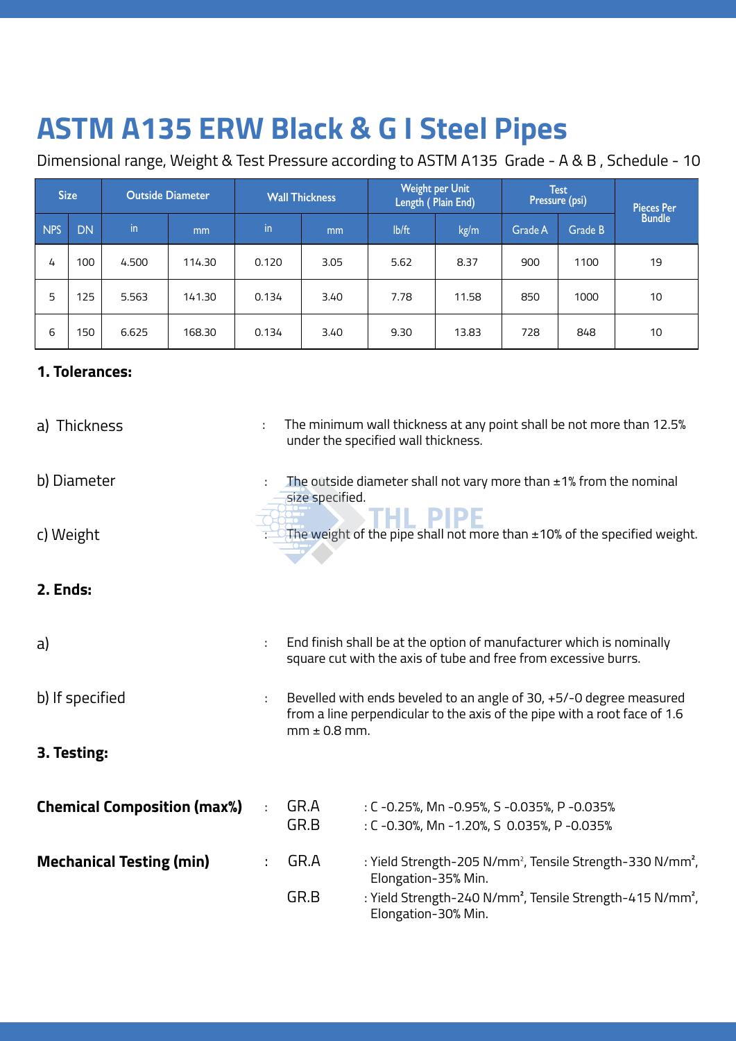## **ASTM A135 ERW Black & G I Steel Pipes**

Dimensional range, Weight & Test Pressure according to ASTM A135 Grade - A & B , Schedule - 10

| <b>Size</b> |           | <b>Outside Diameter</b> |                | <b>Wall Thickness</b> |      | <b>Weight per Unit</b><br>Length (Plain End) |       | <b>Test</b><br>Pressure (psi) |         | Pieces Per<br>Bundle |
|-------------|-----------|-------------------------|----------------|-----------------------|------|----------------------------------------------|-------|-------------------------------|---------|----------------------|
| <b>NPS</b>  | <b>DN</b> | in                      | m <sub>m</sub> | in                    | mm   | lb/ft                                        | kg/m  | Grade A                       | Grade B |                      |
| 4           | 100       | 4.500                   | 114.30         | 0.120                 | 3.05 | 5.62                                         | 8.37  | 900                           | 1100    | 19                   |
| 5           | 125       | 5.563                   | 141.30         | 0.134                 | 3.40 | 7.78                                         | 11.58 | 850                           | 1000    | 10                   |
| 6           | 150       | 6.625                   | 168.30         | 0.134                 | 3.40 | 9.30                                         | 13.83 | 728                           | 848     | 10                   |

## **1. Tolerances:**

| a) Thickness                       | ÷  |                  | The minimum wall thickness at any point shall be not more than 12.5%<br>under the specified wall thickness.                                      |
|------------------------------------|----|------------------|--------------------------------------------------------------------------------------------------------------------------------------------------|
| b) Diameter                        |    | size specified.  | The outside diameter shall not vary more than $\pm$ 1% from the nominal                                                                          |
| c) Weight                          |    |                  | The weight of the pipe shall not more than $\pm$ 10% of the specified weight.                                                                    |
| 2. Ends:                           |    |                  |                                                                                                                                                  |
| a)                                 | ÷. |                  | End finish shall be at the option of manufacturer which is nominally<br>square cut with the axis of tube and free from excessive burrs.          |
| b) If specified                    | ÷. | $mm \pm 0.8$ mm. | Bevelled with ends beveled to an angle of 30, +5/-0 degree measured<br>from a line perpendicular to the axis of the pipe with a root face of 1.6 |
| 3. Testing:                        |    |                  |                                                                                                                                                  |
| <b>Chemical Composition (max%)</b> | ÷  | GR.A<br>GR.B     | : C -0.25%, Mn -0.95%, S -0.035%, P -0.035%<br>: C -0.30%, Mn -1.20%, S 0.035%, P -0.035%                                                        |
| <b>Mechanical Testing (min)</b>    | ÷  | GR.A             | : Yield Strength-205 N/mm <sup>2</sup> , Tensile Strength-330 N/mm <sup>2</sup> ,<br>Elongation-35% Min.                                         |
|                                    |    | GR.B             | : Yield Strength-240 N/mm <sup>2</sup> , Tensile Strength-415 N/mm <sup>2</sup> ,<br>Elongation-30% Min.                                         |